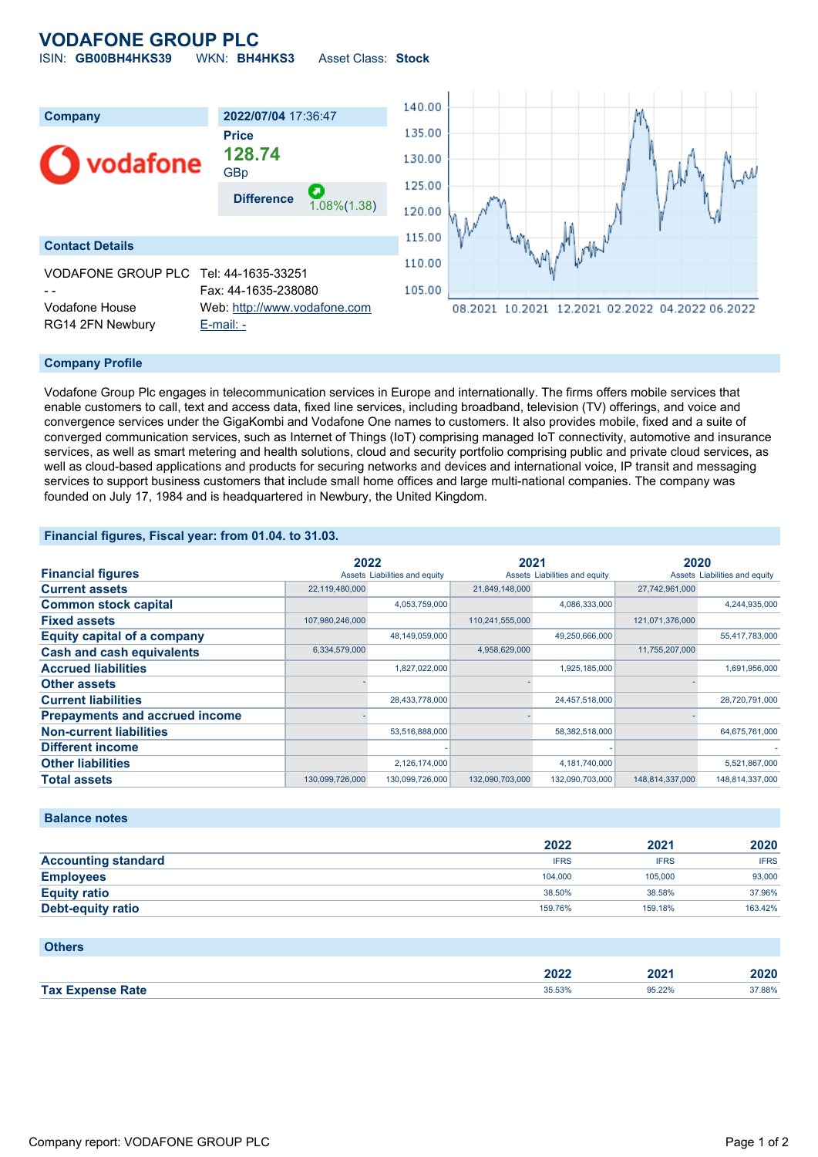## **VODAFONE GROUP PLC** ISIN: **GB00BH4HKS39** WKN: **BH4HKS3** Asset Class: **Stock**

| Company<br>vodafone                                                                                   | 2022/07/04 17:36:47<br><b>Price</b><br>128.74<br>GBp<br>О<br><b>Difference</b><br>$1.08\%(1.38)$ | 140.00<br>135.00<br>130.00<br>125.00 |                                                        |
|-------------------------------------------------------------------------------------------------------|--------------------------------------------------------------------------------------------------|--------------------------------------|--------------------------------------------------------|
| <b>Contact Details</b><br>VODAFONE GROUP PLC Tel: 44-1635-33251<br>Vodafone House<br>RG14 2FN Newbury | Fax: 44-1635-238080<br>Web: http://www.vodafone.com<br>$E$ -mail: $-$                            | 120.00<br>115.00<br>110.00<br>105.00 | Иh-<br>08.2021 10.2021 12.2021 02.2022 04.2022 06.2022 |

#### **Company Profile**

Vodafone Group Plc engages in telecommunication services in Europe and internationally. The firms offers mobile services that enable customers to call, text and access data, fixed line services, including broadband, television (TV) offerings, and voice and convergence services under the GigaKombi and Vodafone One names to customers. It also provides mobile, fixed and a suite of converged communication services, such as Internet of Things (IoT) comprising managed IoT connectivity, automotive and insurance services, as well as smart metering and health solutions, cloud and security portfolio comprising public and private cloud services, as well as cloud-based applications and products for securing networks and devices and international voice, IP transit and messaging services to support business customers that include small home offices and large multi-national companies. The company was founded on July 17, 1984 and is headquartered in Newbury, the United Kingdom.

#### **Financial figures, Fiscal year: from 01.04. to 31.03.**

|                                       | 2022            |                               | 2021            |                               | 2020            |                               |
|---------------------------------------|-----------------|-------------------------------|-----------------|-------------------------------|-----------------|-------------------------------|
| <b>Financial figures</b>              |                 | Assets Liabilities and equity |                 | Assets Liabilities and equity |                 | Assets Liabilities and equity |
| <b>Current assets</b>                 | 22,119,480,000  |                               | 21,849,148,000  |                               | 27,742,961,000  |                               |
| <b>Common stock capital</b>           |                 | 4,053,759,000                 |                 | 4,086,333,000                 |                 | 4,244,935,000                 |
| <b>Fixed assets</b>                   | 107,980,246,000 |                               | 110,241,555,000 |                               | 121,071,376,000 |                               |
| <b>Equity capital of a company</b>    |                 | 48,149,059,000                |                 | 49,250,666,000                |                 | 55,417,783,000                |
| <b>Cash and cash equivalents</b>      | 6,334,579,000   |                               | 4,958,629,000   |                               | 11,755,207,000  |                               |
| <b>Accrued liabilities</b>            |                 | 1,827,022,000                 |                 | 1,925,185,000                 |                 | 1,691,956,000                 |
| <b>Other assets</b>                   |                 |                               |                 |                               |                 |                               |
| <b>Current liabilities</b>            |                 | 28,433,778,000                |                 | 24,457,518,000                |                 | 28,720,791,000                |
| <b>Prepayments and accrued income</b> |                 |                               |                 |                               |                 |                               |
| <b>Non-current liabilities</b>        |                 | 53,516,888,000                |                 | 58,382,518,000                |                 | 64,675,761,000                |
| <b>Different income</b>               |                 |                               |                 |                               |                 |                               |
| <b>Other liabilities</b>              |                 | 2,126,174,000                 |                 | 4,181,740,000                 |                 | 5,521,867,000                 |
| <b>Total assets</b>                   | 130,099,726,000 | 130,099,726,000               | 132,090,703,000 | 132,090,703,000               | 148,814,337,000 | 148,814,337,000               |

#### **Balance notes**

|                            | 2022        | 2021        | 2020        |
|----------------------------|-------------|-------------|-------------|
| <b>Accounting standard</b> | <b>IFRS</b> | <b>IFRS</b> | <b>IFRS</b> |
| <b>Employees</b>           | 104.000     | 105.000     | 93,000      |
| <b>Equity ratio</b>        | 38.50%      | 38.58%      | 37.96%      |
| <b>Debt-equity ratio</b>   | 159.76%     | 159.18%     | 163.42%     |

### **Others**

|                                | 2022<br>______ | 2021<br>_____ | 2020   |
|--------------------------------|----------------|---------------|--------|
| <b>Expense Rate</b><br>Tax $E$ | 35.53%         | 95.22%        | 37.88% |